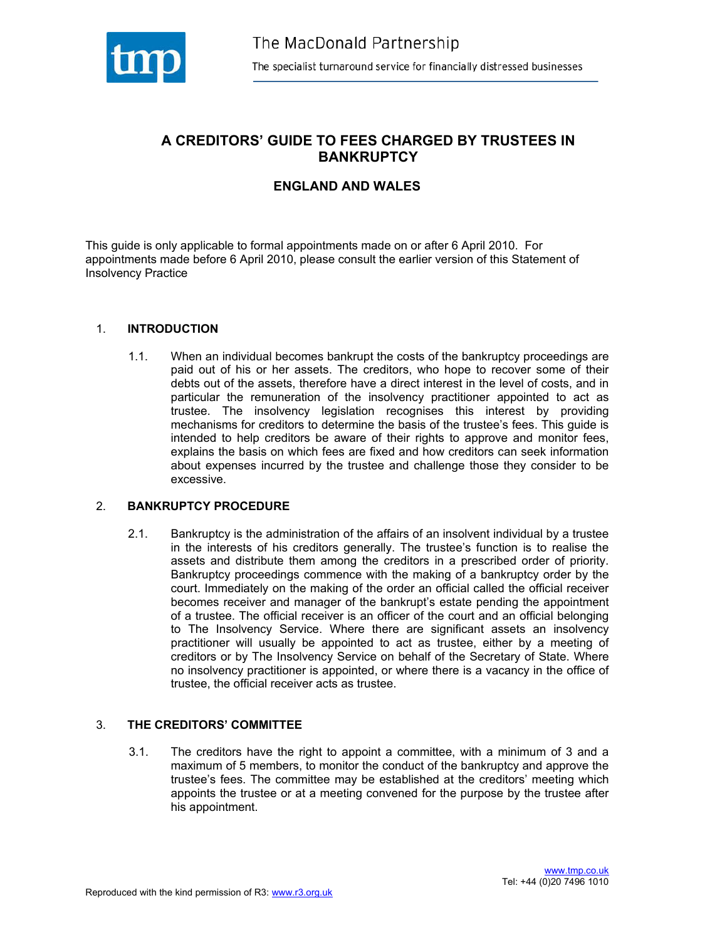

# **A CREDITORS' GUIDE TO FEES CHARGED BY TRUSTEES IN BANKRUPTCY**

## **ENGLAND AND WALES**

This guide is only applicable to formal appointments made on or after 6 April 2010. For appointments made before 6 April 2010, please consult the earlier version of this Statement of Insolvency Practice

#### 1. **INTRODUCTION**

1.1. When an individual becomes bankrupt the costs of the bankruptcy proceedings are paid out of his or her assets. The creditors, who hope to recover some of their debts out of the assets, therefore have a direct interest in the level of costs, and in particular the remuneration of the insolvency practitioner appointed to act as trustee. The insolvency legislation recognises this interest by providing mechanisms for creditors to determine the basis of the trustee's fees. This guide is intended to help creditors be aware of their rights to approve and monitor fees, explains the basis on which fees are fixed and how creditors can seek information about expenses incurred by the trustee and challenge those they consider to be excessive.

#### 2. **BANKRUPTCY PROCEDURE**

2.1. Bankruptcy is the administration of the affairs of an insolvent individual by a trustee in the interests of his creditors generally. The trustee's function is to realise the assets and distribute them among the creditors in a prescribed order of priority. Bankruptcy proceedings commence with the making of a bankruptcy order by the court. Immediately on the making of the order an official called the official receiver becomes receiver and manager of the bankrupt's estate pending the appointment of a trustee. The official receiver is an officer of the court and an official belonging to The Insolvency Service. Where there are significant assets an insolvency practitioner will usually be appointed to act as trustee, either by a meeting of creditors or by The Insolvency Service on behalf of the Secretary of State. Where no insolvency practitioner is appointed, or where there is a vacancy in the office of trustee, the official receiver acts as trustee.

#### 3. **THE CREDITORS' COMMITTEE**

3.1. The creditors have the right to appoint a committee, with a minimum of 3 and a maximum of 5 members, to monitor the conduct of the bankruptcy and approve the trustee's fees. The committee may be established at the creditors' meeting which appoints the trustee or at a meeting convened for the purpose by the trustee after his appointment.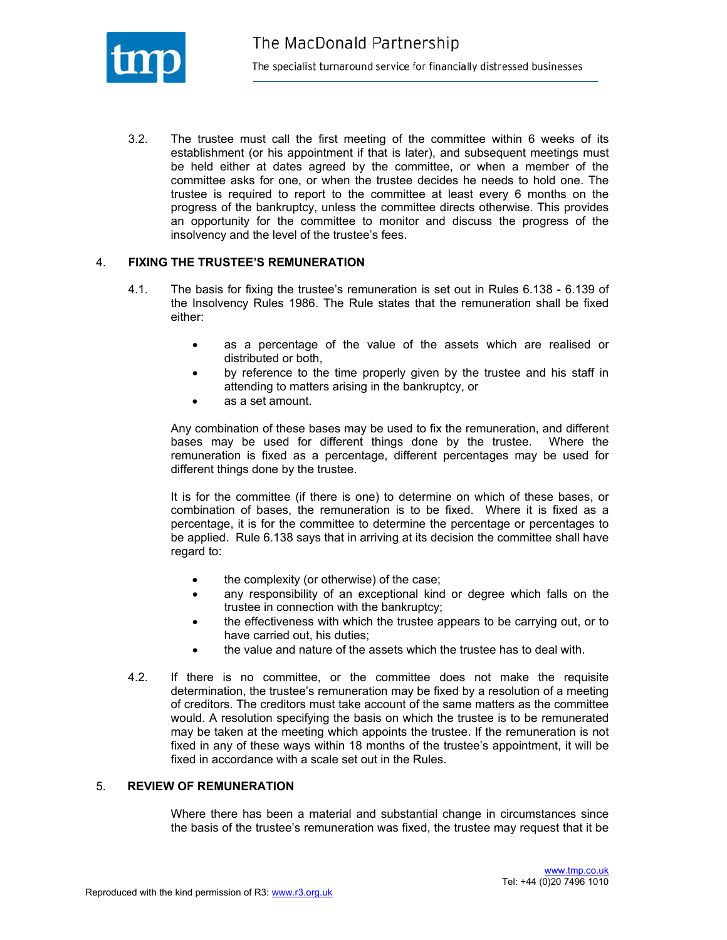

3.2. The trustee must call the first meeting of the committee within 6 weeks of its establishment (or his appointment if that is later), and subsequent meetings must be held either at dates agreed by the committee, or when a member of the committee asks for one, or when the trustee decides he needs to hold one. The trustee is required to report to the committee at least every 6 months on the progress of the bankruptcy, unless the committee directs otherwise. This provides an opportunity for the committee to monitor and discuss the progress of the insolvency and the level of the trustee's fees.

#### 4. **FIXING THE TRUSTEE'S REMUNERATION**

- 4.1. The basis for fixing the trustee's remuneration is set out in Rules 6.138 6.139 of the Insolvency Rules 1986. The Rule states that the remuneration shall be fixed either:
	- as a percentage of the value of the assets which are realised or distributed or both,
	- by reference to the time properly given by the trustee and his staff in attending to matters arising in the bankruptcy, or
	- as a set amount.

Any combination of these bases may be used to fix the remuneration, and different bases may be used for different things done by the trustee. Where the remuneration is fixed as a percentage, different percentages may be used for different things done by the trustee.

It is for the committee (if there is one) to determine on which of these bases, or combination of bases, the remuneration is to be fixed. Where it is fixed as a percentage, it is for the committee to determine the percentage or percentages to be applied. Rule 6.138 says that in arriving at its decision the committee shall have regard to:

- the complexity (or otherwise) of the case;
- any responsibility of an exceptional kind or degree which falls on the trustee in connection with the bankruptcy;
- the effectiveness with which the trustee appears to be carrying out, or to have carried out, his duties;
- the value and nature of the assets which the trustee has to deal with.
- 4.2. If there is no committee, or the committee does not make the requisite determination, the trustee's remuneration may be fixed by a resolution of a meeting of creditors. The creditors must take account of the same matters as the committee would. A resolution specifying the basis on which the trustee is to be remunerated may be taken at the meeting which appoints the trustee. If the remuneration is not fixed in any of these ways within 18 months of the trustee's appointment, it will be fixed in accordance with a scale set out in the Rules.

## 5. **REVIEW OF REMUNERATION**

Where there has been a material and substantial change in circumstances since the basis of the trustee's remuneration was fixed, the trustee may request that it be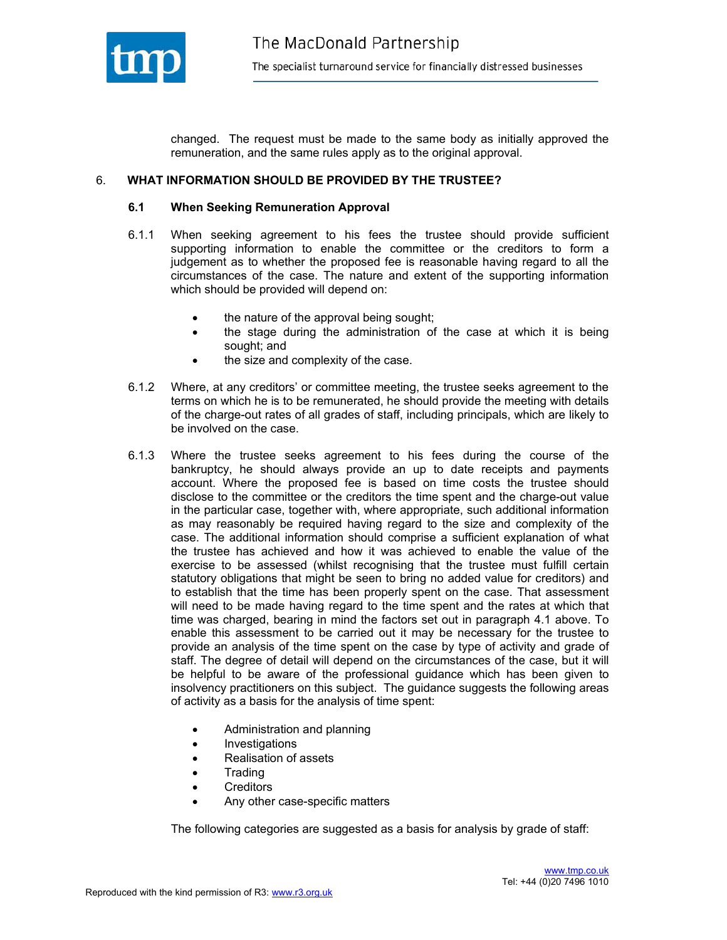

changed. The request must be made to the same body as initially approved the remuneration, and the same rules apply as to the original approval.

#### 6. **WHAT INFORMATION SHOULD BE PROVIDED BY THE TRUSTEE?**

#### **6.1 When Seeking Remuneration Approval**

- 6.1.1 When seeking agreement to his fees the trustee should provide sufficient supporting information to enable the committee or the creditors to form a judgement as to whether the proposed fee is reasonable having regard to all the circumstances of the case. The nature and extent of the supporting information which should be provided will depend on:
	- the nature of the approval being sought;
	- the stage during the administration of the case at which it is being sought; and
	- the size and complexity of the case.
- 6.1.2 Where, at any creditors' or committee meeting, the trustee seeks agreement to the terms on which he is to be remunerated, he should provide the meeting with details of the charge-out rates of all grades of staff, including principals, which are likely to be involved on the case.
- 6.1.3 Where the trustee seeks agreement to his fees during the course of the bankruptcy, he should always provide an up to date receipts and payments account. Where the proposed fee is based on time costs the trustee should disclose to the committee or the creditors the time spent and the charge-out value in the particular case, together with, where appropriate, such additional information as may reasonably be required having regard to the size and complexity of the case. The additional information should comprise a sufficient explanation of what the trustee has achieved and how it was achieved to enable the value of the exercise to be assessed (whilst recognising that the trustee must fulfill certain statutory obligations that might be seen to bring no added value for creditors) and to establish that the time has been properly spent on the case. That assessment will need to be made having regard to the time spent and the rates at which that time was charged, bearing in mind the factors set out in paragraph 4.1 above. To enable this assessment to be carried out it may be necessary for the trustee to provide an analysis of the time spent on the case by type of activity and grade of staff. The degree of detail will depend on the circumstances of the case, but it will be helpful to be aware of the professional guidance which has been given to insolvency practitioners on this subject. The guidance suggests the following areas of activity as a basis for the analysis of time spent:
	- Administration and planning
	- Investigations
	- Realisation of assets
	- Trading
	- Creditors
	- Any other case-specific matters

The following categories are suggested as a basis for analysis by grade of staff: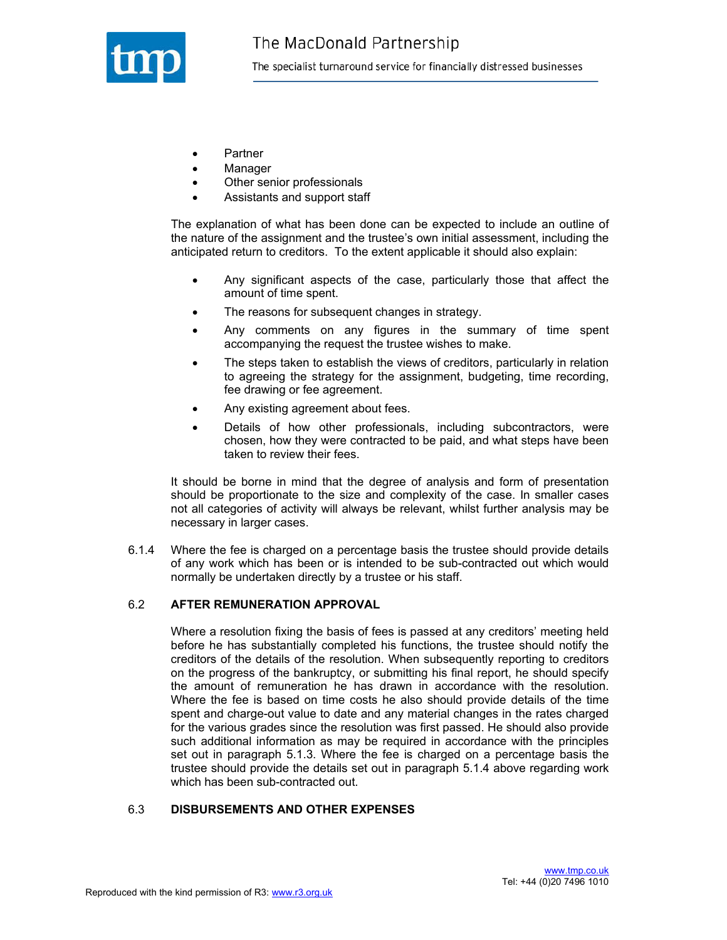

- Partner
- **Manager**
- Other senior professionals
- Assistants and support staff

The explanation of what has been done can be expected to include an outline of the nature of the assignment and the trustee's own initial assessment, including the anticipated return to creditors. To the extent applicable it should also explain:

- Any significant aspects of the case, particularly those that affect the amount of time spent.
- The reasons for subsequent changes in strategy.
- Any comments on any figures in the summary of time spent accompanying the request the trustee wishes to make.
- The steps taken to establish the views of creditors, particularly in relation to agreeing the strategy for the assignment, budgeting, time recording, fee drawing or fee agreement.
- Any existing agreement about fees.
- Details of how other professionals, including subcontractors, were chosen, how they were contracted to be paid, and what steps have been taken to review their fees.

It should be borne in mind that the degree of analysis and form of presentation should be proportionate to the size and complexity of the case. In smaller cases not all categories of activity will always be relevant, whilst further analysis may be necessary in larger cases.

6.1.4 Where the fee is charged on a percentage basis the trustee should provide details of any work which has been or is intended to be sub-contracted out which would normally be undertaken directly by a trustee or his staff.

## 6.2 **AFTER REMUNERATION APPROVAL**

Where a resolution fixing the basis of fees is passed at any creditors' meeting held before he has substantially completed his functions, the trustee should notify the creditors of the details of the resolution. When subsequently reporting to creditors on the progress of the bankruptcy, or submitting his final report, he should specify the amount of remuneration he has drawn in accordance with the resolution. Where the fee is based on time costs he also should provide details of the time spent and charge-out value to date and any material changes in the rates charged for the various grades since the resolution was first passed. He should also provide such additional information as may be required in accordance with the principles set out in paragraph 5.1.3. Where the fee is charged on a percentage basis the trustee should provide the details set out in paragraph 5.1.4 above regarding work which has been sub-contracted out.

## 6.3 **DISBURSEMENTS AND OTHER EXPENSES**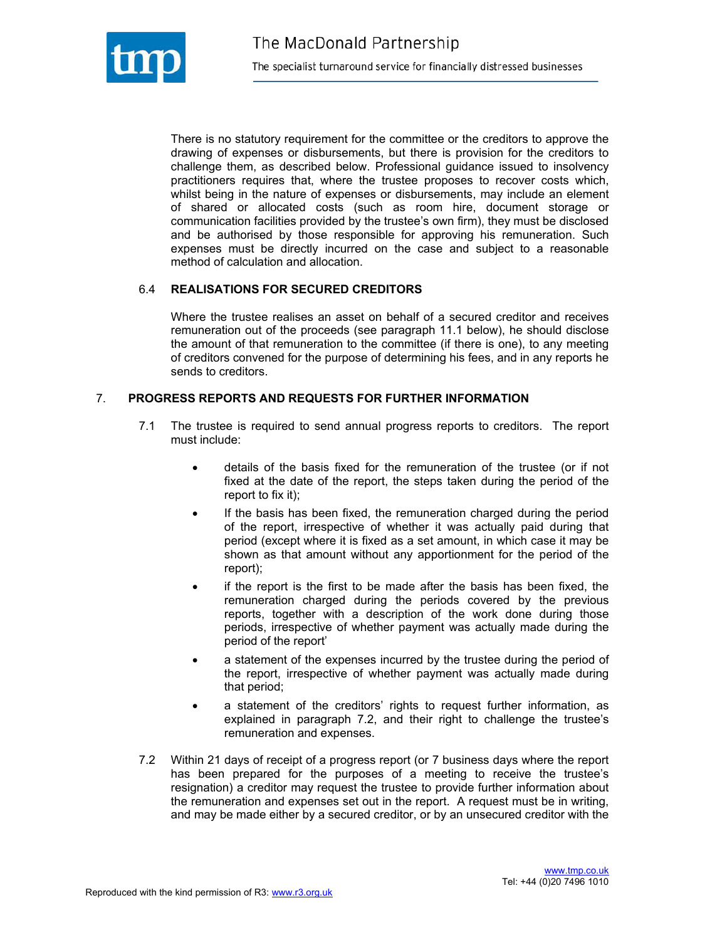

There is no statutory requirement for the committee or the creditors to approve the drawing of expenses or disbursements, but there is provision for the creditors to challenge them, as described below. Professional guidance issued to insolvency practitioners requires that, where the trustee proposes to recover costs which, whilst being in the nature of expenses or disbursements, may include an element of shared or allocated costs (such as room hire, document storage or communication facilities provided by the trustee's own firm), they must be disclosed and be authorised by those responsible for approving his remuneration. Such expenses must be directly incurred on the case and subject to a reasonable method of calculation and allocation.

## 6.4 **REALISATIONS FOR SECURED CREDITORS**

Where the trustee realises an asset on behalf of a secured creditor and receives remuneration out of the proceeds (see paragraph 11.1 below), he should disclose the amount of that remuneration to the committee (if there is one), to any meeting of creditors convened for the purpose of determining his fees, and in any reports he sends to creditors.

## 7. **PROGRESS REPORTS AND REQUESTS FOR FURTHER INFORMATION**

- 7.1 The trustee is required to send annual progress reports to creditors. The report must include:
	- details of the basis fixed for the remuneration of the trustee (or if not fixed at the date of the report, the steps taken during the period of the report to fix it);
	- If the basis has been fixed, the remuneration charged during the period of the report, irrespective of whether it was actually paid during that period (except where it is fixed as a set amount, in which case it may be shown as that amount without any apportionment for the period of the report);
	- if the report is the first to be made after the basis has been fixed, the remuneration charged during the periods covered by the previous reports, together with a description of the work done during those periods, irrespective of whether payment was actually made during the period of the report'
	- a statement of the expenses incurred by the trustee during the period of the report, irrespective of whether payment was actually made during that period;
	- a statement of the creditors' rights to request further information, as explained in paragraph 7.2, and their right to challenge the trustee's remuneration and expenses.
- 7.2 Within 21 days of receipt of a progress report (or 7 business days where the report has been prepared for the purposes of a meeting to receive the trustee's resignation) a creditor may request the trustee to provide further information about the remuneration and expenses set out in the report. A request must be in writing, and may be made either by a secured creditor, or by an unsecured creditor with the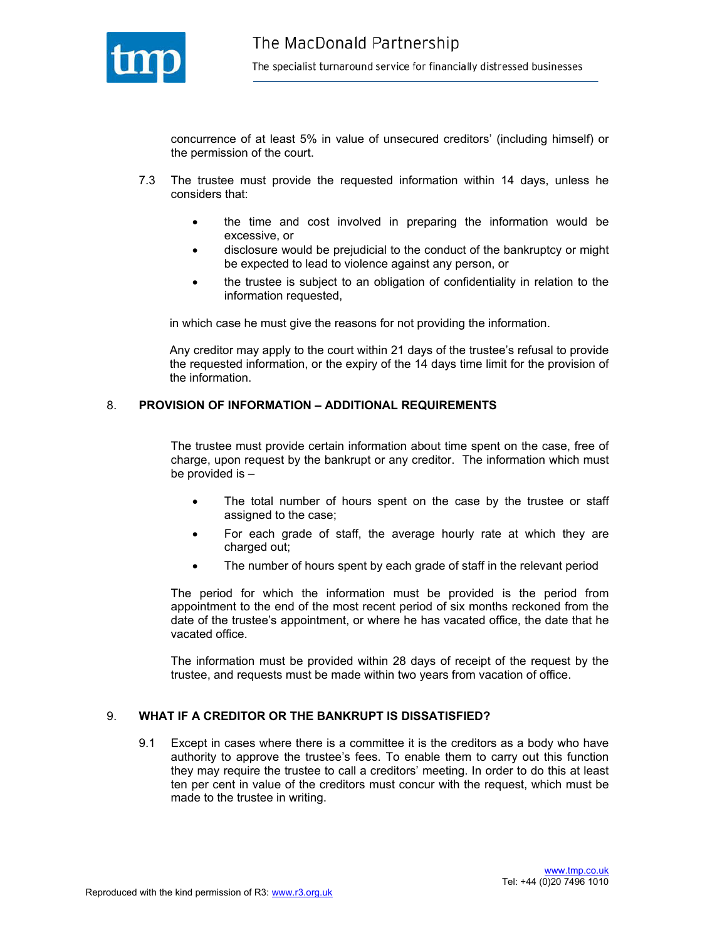

concurrence of at least 5% in value of unsecured creditors' (including himself) or the permission of the court.

- 7.3 The trustee must provide the requested information within 14 days, unless he considers that:
	- the time and cost involved in preparing the information would be excessive, or
	- disclosure would be prejudicial to the conduct of the bankruptcy or might be expected to lead to violence against any person, or
	- the trustee is subject to an obligation of confidentiality in relation to the information requested,

in which case he must give the reasons for not providing the information.

Any creditor may apply to the court within 21 days of the trustee's refusal to provide the requested information, or the expiry of the 14 days time limit for the provision of the information.

#### 8. **PROVISION OF INFORMATION – ADDITIONAL REQUIREMENTS**

The trustee must provide certain information about time spent on the case, free of charge, upon request by the bankrupt or any creditor. The information which must be provided is –

- The total number of hours spent on the case by the trustee or staff assigned to the case;
- For each grade of staff, the average hourly rate at which they are charged out;
- The number of hours spent by each grade of staff in the relevant period

The period for which the information must be provided is the period from appointment to the end of the most recent period of six months reckoned from the date of the trustee's appointment, or where he has vacated office, the date that he vacated office.

The information must be provided within 28 days of receipt of the request by the trustee, and requests must be made within two years from vacation of office.

## 9. **WHAT IF A CREDITOR OR THE BANKRUPT IS DISSATISFIED?**

9.1 Except in cases where there is a committee it is the creditors as a body who have authority to approve the trustee's fees. To enable them to carry out this function they may require the trustee to call a creditors' meeting. In order to do this at least ten per cent in value of the creditors must concur with the request, which must be made to the trustee in writing.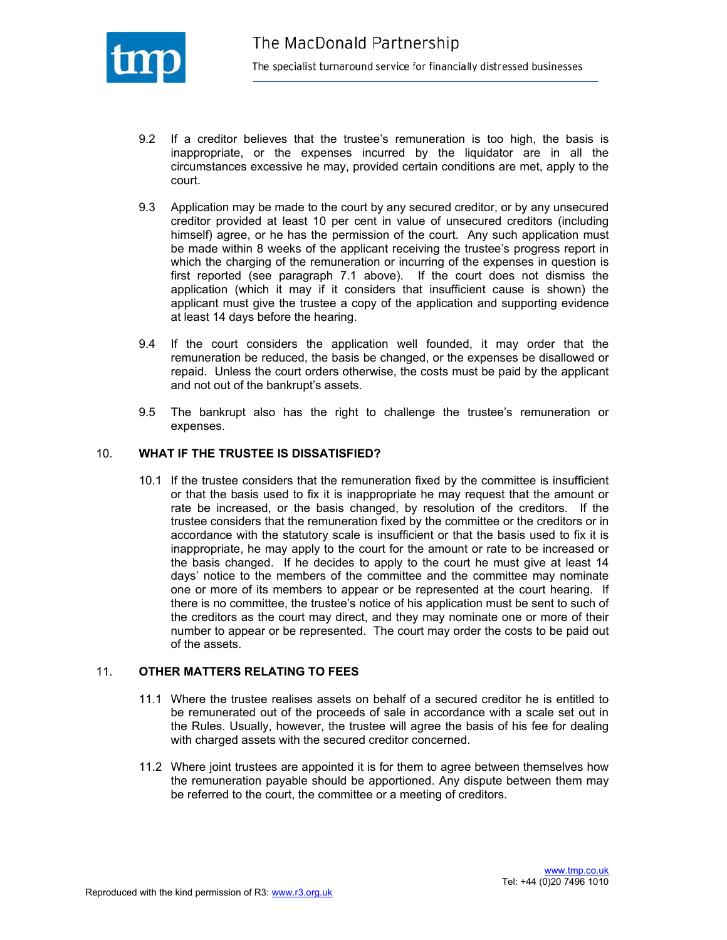

- 9.2 If a creditor believes that the trustee's remuneration is too high, the basis is inappropriate, or the expenses incurred by the liquidator are in all the circumstances excessive he may, provided certain conditions are met, apply to the court.
- 9.3 Application may be made to the court by any secured creditor, or by any unsecured creditor provided at least 10 per cent in value of unsecured creditors (including himself) agree, or he has the permission of the court. Any such application must be made within 8 weeks of the applicant receiving the trustee's progress report in which the charging of the remuneration or incurring of the expenses in question is first reported (see paragraph 7.1 above). If the court does not dismiss the application (which it may if it considers that insufficient cause is shown) the applicant must give the trustee a copy of the application and supporting evidence at least 14 days before the hearing.
- 9.4 If the court considers the application well founded, it may order that the remuneration be reduced, the basis be changed, or the expenses be disallowed or repaid. Unless the court orders otherwise, the costs must be paid by the applicant and not out of the bankrupt's assets.
- 9.5 The bankrupt also has the right to challenge the trustee's remuneration or expenses.

## 10. **WHAT IF THE TRUSTEE IS DISSATISFIED?**

10.1 If the trustee considers that the remuneration fixed by the committee is insufficient or that the basis used to fix it is inappropriate he may request that the amount or rate be increased, or the basis changed, by resolution of the creditors. If the trustee considers that the remuneration fixed by the committee or the creditors or in accordance with the statutory scale is insufficient or that the basis used to fix it is inappropriate, he may apply to the court for the amount or rate to be increased or the basis changed. If he decides to apply to the court he must give at least 14 days' notice to the members of the committee and the committee may nominate one or more of its members to appear or be represented at the court hearing. If there is no committee, the trustee's notice of his application must be sent to such of the creditors as the court may direct, and they may nominate one or more of their number to appear or be represented. The court may order the costs to be paid out of the assets.

#### 11. **OTHER MATTERS RELATING TO FEES**

- 11.1 Where the trustee realises assets on behalf of a secured creditor he is entitled to be remunerated out of the proceeds of sale in accordance with a scale set out in the Rules. Usually, however, the trustee will agree the basis of his fee for dealing with charged assets with the secured creditor concerned.
- 11.2 Where joint trustees are appointed it is for them to agree between themselves how the remuneration payable should be apportioned. Any dispute between them may be referred to the court, the committee or a meeting of creditors.